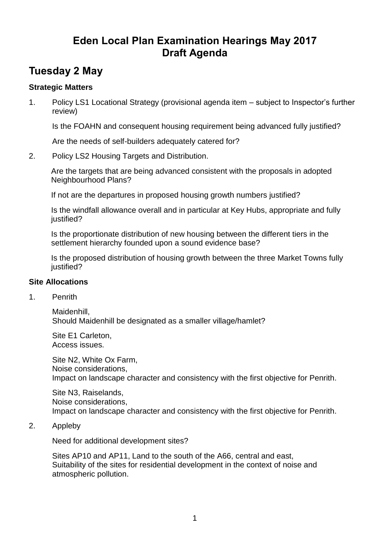## **Eden Local Plan Examination Hearings May 2017 Draft Agenda**

## **Tuesday 2 May**

## **Strategic Matters**

1. Policy LS1 Locational Strategy (provisional agenda item – subject to Inspector's further review)

Is the FOAHN and consequent housing requirement being advanced fully justified?

Are the needs of self-builders adequately catered for?

2. Policy LS2 Housing Targets and Distribution.

Are the targets that are being advanced consistent with the proposals in adopted Neighbourhood Plans?

If not are the departures in proposed housing growth numbers justified?

Is the windfall allowance overall and in particular at Key Hubs, appropriate and fully justified?

Is the proportionate distribution of new housing between the different tiers in the settlement hierarchy founded upon a sound evidence base?

Is the proposed distribution of housing growth between the three Market Towns fully justified?

## **Site Allocations**

1. Penrith

Maidenhill, Should Maidenhill be designated as a smaller village/hamlet?

Site E1 Carleton, Access issues.

Site N2, White Ox Farm, Noise considerations, Impact on landscape character and consistency with the first objective for Penrith.

Site N3, Raiselands, Noise considerations, Impact on landscape character and consistency with the first objective for Penrith.

2. Appleby

Need for additional development sites?

Sites AP10 and AP11, Land to the south of the A66, central and east, Suitability of the sites for residential development in the context of noise and atmospheric pollution.